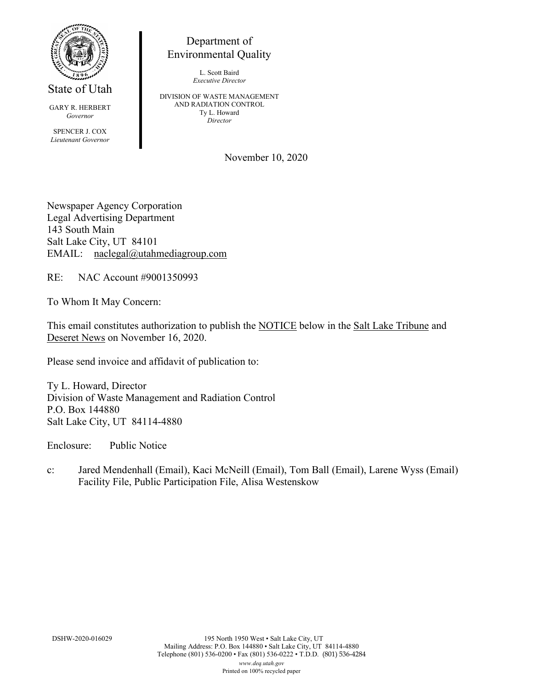

State of Utah

GARY R. HERBERT *Governor*

SPENCER J. COX *Lieutenant Governor*

## Department of Environmental Quality

L. Scott Baird *Executive Director*

DIVISION OF WASTE MANAGEMENT AND RADIATION CONTROL Ty L. Howard *Director*

November 10, 2020

Newspaper Agency Corporation Legal Advertising Department 143 South Main Salt Lake City, UT 84101 EMAIL: naclegal@utahmediagroup.com

RE: NAC Account #9001350993

To Whom It May Concern:

This email constitutes authorization to publish the NOTICE below in the Salt Lake Tribune and Deseret News on November 16, 2020.

Please send invoice and affidavit of publication to:

Ty L. Howard, Director Division of Waste Management and Radiation Control P.O. Box 144880 Salt Lake City, UT 84114-4880

Enclosure: Public Notice

c: Jared Mendenhall (Email), Kaci McNeill (Email), Tom Ball (Email), Larene Wyss (Email) Facility File, Public Participation File, Alisa Westenskow